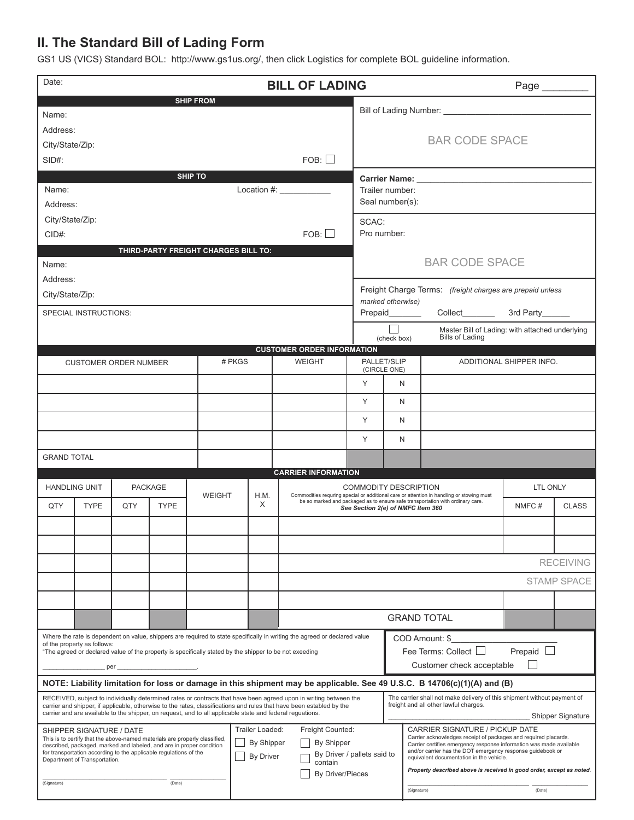## **II. The Standard Bill of Lading Form**

GS1 US (VICS) Standard BOL: http://www.gs1us.org/, then click Logistics for complete BOL guideline information.

| Date:<br><b>BILL OF LADING</b>                                                                                                                                                                                                                                                                                                                         |                              |     |                                                                            |               |        |                                                                                                                          |                            |                                                      | Page                                                                                                                                                                                                                             |                                                                                                                                        |                                                                                                                          |                 |                    |  |
|--------------------------------------------------------------------------------------------------------------------------------------------------------------------------------------------------------------------------------------------------------------------------------------------------------------------------------------------------------|------------------------------|-----|----------------------------------------------------------------------------|---------------|--------|--------------------------------------------------------------------------------------------------------------------------|----------------------------|------------------------------------------------------|----------------------------------------------------------------------------------------------------------------------------------------------------------------------------------------------------------------------------------|----------------------------------------------------------------------------------------------------------------------------------------|--------------------------------------------------------------------------------------------------------------------------|-----------------|--------------------|--|
| <b>SHIP FROM</b>                                                                                                                                                                                                                                                                                                                                       |                              |     |                                                                            |               |        |                                                                                                                          |                            |                                                      | Bill of Lading Number:<br>Letter School and School and School and School and School and School and School and School and School and School and School and School and School and School and School and School and School and Scho |                                                                                                                                        |                                                                                                                          |                 |                    |  |
| Name:                                                                                                                                                                                                                                                                                                                                                  |                              |     |                                                                            |               |        |                                                                                                                          |                            |                                                      |                                                                                                                                                                                                                                  |                                                                                                                                        |                                                                                                                          |                 |                    |  |
| Address:                                                                                                                                                                                                                                                                                                                                               |                              |     |                                                                            |               |        |                                                                                                                          |                            |                                                      |                                                                                                                                                                                                                                  | <b>BAR CODE SPACE</b>                                                                                                                  |                                                                                                                          |                 |                    |  |
| City/State/Zip:                                                                                                                                                                                                                                                                                                                                        |                              |     |                                                                            |               |        |                                                                                                                          |                            |                                                      |                                                                                                                                                                                                                                  |                                                                                                                                        |                                                                                                                          |                 |                    |  |
| FOB:<br>$SID#$ :                                                                                                                                                                                                                                                                                                                                       |                              |     |                                                                            |               |        |                                                                                                                          |                            |                                                      |                                                                                                                                                                                                                                  |                                                                                                                                        |                                                                                                                          |                 |                    |  |
| <b>SHIP TO</b><br>Location #: $\frac{1}{2}$                                                                                                                                                                                                                                                                                                            |                              |     |                                                                            |               |        |                                                                                                                          |                            |                                                      | Carrier Name: The Carrier Name:                                                                                                                                                                                                  |                                                                                                                                        |                                                                                                                          |                 |                    |  |
| Name:                                                                                                                                                                                                                                                                                                                                                  |                              |     |                                                                            |               |        |                                                                                                                          |                            | Trailer number:                                      |                                                                                                                                                                                                                                  |                                                                                                                                        |                                                                                                                          |                 |                    |  |
| Address:                                                                                                                                                                                                                                                                                                                                               |                              |     |                                                                            |               |        |                                                                                                                          |                            | Seal number(s):                                      |                                                                                                                                                                                                                                  |                                                                                                                                        |                                                                                                                          |                 |                    |  |
| City/State/Zip:                                                                                                                                                                                                                                                                                                                                        |                              |     |                                                                            |               |        |                                                                                                                          |                            |                                                      | SCAC:<br>Pro number:                                                                                                                                                                                                             |                                                                                                                                        |                                                                                                                          |                 |                    |  |
| FOB:<br>$CID#$ :                                                                                                                                                                                                                                                                                                                                       |                              |     |                                                                            |               |        |                                                                                                                          |                            |                                                      |                                                                                                                                                                                                                                  |                                                                                                                                        |                                                                                                                          |                 |                    |  |
| THIRD-PARTY FREIGHT CHARGES BILL TO:                                                                                                                                                                                                                                                                                                                   |                              |     |                                                                            |               |        |                                                                                                                          |                            |                                                      |                                                                                                                                                                                                                                  |                                                                                                                                        |                                                                                                                          |                 |                    |  |
| Name:                                                                                                                                                                                                                                                                                                                                                  |                              |     |                                                                            |               |        |                                                                                                                          |                            |                                                      | <b>BAR CODE SPACE</b>                                                                                                                                                                                                            |                                                                                                                                        |                                                                                                                          |                 |                    |  |
| Address:                                                                                                                                                                                                                                                                                                                                               |                              |     |                                                                            |               |        |                                                                                                                          |                            |                                                      |                                                                                                                                                                                                                                  |                                                                                                                                        |                                                                                                                          |                 |                    |  |
| City/State/Zip:                                                                                                                                                                                                                                                                                                                                        |                              |     |                                                                            |               |        |                                                                                                                          |                            |                                                      | Freight Charge Terms: (freight charges are prepaid unless<br>marked otherwise)                                                                                                                                                   |                                                                                                                                        |                                                                                                                          |                 |                    |  |
| SPECIAL INSTRUCTIONS:                                                                                                                                                                                                                                                                                                                                  |                              |     |                                                                            |               |        |                                                                                                                          |                            | Prepaid________                                      |                                                                                                                                                                                                                                  |                                                                                                                                        | Collect_______                                                                                                           | 3rd Party______ |                    |  |
|                                                                                                                                                                                                                                                                                                                                                        |                              |     |                                                                            |               |        |                                                                                                                          |                            |                                                      | Master Bill of Lading: with attached underlying                                                                                                                                                                                  |                                                                                                                                        |                                                                                                                          |                 |                    |  |
| <b>CUSTOMER ORDER INFORMATION</b>                                                                                                                                                                                                                                                                                                                      |                              |     |                                                                            |               |        |                                                                                                                          |                            | <b>Bills of Lading</b><br>(check box)                |                                                                                                                                                                                                                                  |                                                                                                                                        |                                                                                                                          |                 |                    |  |
|                                                                                                                                                                                                                                                                                                                                                        | <b>CUSTOMER ORDER NUMBER</b> |     |                                                                            |               | # PKGS |                                                                                                                          | <b>WEIGHT</b>              |                                                      | PALLET/SLIP                                                                                                                                                                                                                      |                                                                                                                                        | ADDITIONAL SHIPPER INFO.                                                                                                 |                 |                    |  |
|                                                                                                                                                                                                                                                                                                                                                        |                              |     |                                                                            |               |        |                                                                                                                          |                            | Y                                                    | (CIRCLE ONE)<br>N                                                                                                                                                                                                                |                                                                                                                                        |                                                                                                                          |                 |                    |  |
|                                                                                                                                                                                                                                                                                                                                                        |                              |     |                                                                            |               |        |                                                                                                                          |                            |                                                      |                                                                                                                                                                                                                                  |                                                                                                                                        |                                                                                                                          |                 |                    |  |
|                                                                                                                                                                                                                                                                                                                                                        |                              |     |                                                                            |               |        |                                                                                                                          |                            | Y                                                    | N                                                                                                                                                                                                                                |                                                                                                                                        |                                                                                                                          |                 |                    |  |
|                                                                                                                                                                                                                                                                                                                                                        |                              |     |                                                                            |               |        |                                                                                                                          |                            | Y                                                    | N                                                                                                                                                                                                                                |                                                                                                                                        |                                                                                                                          |                 |                    |  |
|                                                                                                                                                                                                                                                                                                                                                        |                              |     |                                                                            |               |        |                                                                                                                          |                            | Y                                                    | N                                                                                                                                                                                                                                |                                                                                                                                        |                                                                                                                          |                 |                    |  |
| <b>GRAND TOTAL</b>                                                                                                                                                                                                                                                                                                                                     |                              |     |                                                                            |               |        |                                                                                                                          |                            |                                                      |                                                                                                                                                                                                                                  |                                                                                                                                        |                                                                                                                          |                 |                    |  |
|                                                                                                                                                                                                                                                                                                                                                        |                              |     |                                                                            |               |        |                                                                                                                          | <b>CARRIER INFORMATION</b> |                                                      |                                                                                                                                                                                                                                  |                                                                                                                                        |                                                                                                                          |                 |                    |  |
|                                                                                                                                                                                                                                                                                                                                                        | <b>HANDLING UNIT</b>         |     | <b>PACKAGE</b>                                                             | <b>WEIGHT</b> | H.M.   | <b>COMMODITY DESCRIPTION</b><br>Commodities requring special or additional care or attention in handling or stowing must |                            |                                                      |                                                                                                                                                                                                                                  |                                                                                                                                        | LTL ONLY                                                                                                                 |                 |                    |  |
| QTY                                                                                                                                                                                                                                                                                                                                                    | <b>TYPE</b>                  | QTY | <b>TYPE</b>                                                                |               | X      |                                                                                                                          |                            | See Section 2(e) of NMFC Item 360                    |                                                                                                                                                                                                                                  |                                                                                                                                        | be so marked and packaged as to ensure safe transportation with ordinary care.                                           | NMFC#           | <b>CLASS</b>       |  |
|                                                                                                                                                                                                                                                                                                                                                        |                              |     |                                                                            |               |        |                                                                                                                          |                            |                                                      |                                                                                                                                                                                                                                  |                                                                                                                                        |                                                                                                                          |                 |                    |  |
|                                                                                                                                                                                                                                                                                                                                                        |                              |     |                                                                            |               |        |                                                                                                                          |                            |                                                      |                                                                                                                                                                                                                                  |                                                                                                                                        |                                                                                                                          |                 |                    |  |
|                                                                                                                                                                                                                                                                                                                                                        |                              |     |                                                                            |               |        |                                                                                                                          |                            |                                                      |                                                                                                                                                                                                                                  |                                                                                                                                        |                                                                                                                          |                 |                    |  |
|                                                                                                                                                                                                                                                                                                                                                        |                              |     |                                                                            |               |        |                                                                                                                          |                            | <b>RECEIVING</b>                                     |                                                                                                                                                                                                                                  |                                                                                                                                        |                                                                                                                          |                 |                    |  |
|                                                                                                                                                                                                                                                                                                                                                        |                              |     |                                                                            |               |        |                                                                                                                          |                            |                                                      |                                                                                                                                                                                                                                  |                                                                                                                                        |                                                                                                                          |                 | <b>STAMP SPACE</b> |  |
|                                                                                                                                                                                                                                                                                                                                                        |                              |     |                                                                            |               |        |                                                                                                                          |                            |                                                      |                                                                                                                                                                                                                                  |                                                                                                                                        |                                                                                                                          |                 |                    |  |
|                                                                                                                                                                                                                                                                                                                                                        |                              |     |                                                                            |               |        |                                                                                                                          |                            | <b>GRAND TOTAL</b>                                   |                                                                                                                                                                                                                                  |                                                                                                                                        |                                                                                                                          |                 |                    |  |
| Where the rate is dependent on value, shippers are required to state specifically in writing the agreed or declared value                                                                                                                                                                                                                              |                              |     |                                                                            |               |        |                                                                                                                          |                            | COD Amount: \$                                       |                                                                                                                                                                                                                                  |                                                                                                                                        |                                                                                                                          |                 |                    |  |
|                                                                                                                                                                                                                                                                                                                                                        | of the property as follows:  |     |                                                                            |               |        |                                                                                                                          |                            | Prepaid $\Box$<br>Fee Terms: Collect $\square$       |                                                                                                                                                                                                                                  |                                                                                                                                        |                                                                                                                          |                 |                    |  |
| "The agreed or declared value of the property is specifically stated by the shipper to be not exeeding                                                                                                                                                                                                                                                 |                              |     |                                                                            |               |        |                                                                                                                          |                            |                                                      | Customer check acceptable                                                                                                                                                                                                        |                                                                                                                                        |                                                                                                                          |                 |                    |  |
|                                                                                                                                                                                                                                                                                                                                                        |                              |     |                                                                            |               |        |                                                                                                                          |                            |                                                      |                                                                                                                                                                                                                                  |                                                                                                                                        | NOTE: Liability limitation for loss or damage in this shipment may be applicable. See 49 U.S.C. B 14706(c)(1)(A) and (B) |                 |                    |  |
|                                                                                                                                                                                                                                                                                                                                                        |                              |     |                                                                            |               |        |                                                                                                                          |                            |                                                      |                                                                                                                                                                                                                                  |                                                                                                                                        | The carrier shall not make delivery of this shipment without payment of                                                  |                 |                    |  |
| RECEIVED, subject to individually determined rates or contracts that have been agreed upon in writing between the<br>carrier and shipper, if applicable, otherwise to the rates, classifications and rules that have been establed by the<br>carrier and are available to the shipper, on request, and to all applicable state and federal reguations. |                              |     |                                                                            |               |        |                                                                                                                          |                            |                                                      | freight and all other lawful charges.                                                                                                                                                                                            |                                                                                                                                        |                                                                                                                          |                 |                    |  |
|                                                                                                                                                                                                                                                                                                                                                        | SHIPPER SIGNATURE / DATE     |     |                                                                            |               |        |                                                                                                                          | Freight Counted:           | Shipper Signature<br>CARRIER SIGNATURE / PICKUP DATE |                                                                                                                                                                                                                                  |                                                                                                                                        |                                                                                                                          |                 |                    |  |
|                                                                                                                                                                                                                                                                                                                                                        |                              |     | This is to certify that the above-named materials are properly classified, |               |        | Trailer Loaded:<br>By Shipper<br>By Shipper                                                                              |                            |                                                      |                                                                                                                                                                                                                                  | Carrier acknowledges receipt of packages and required placards.<br>Carrier certifies emergency response information was made available |                                                                                                                          |                 |                    |  |
| described, packaged, marked and labeled, and are in proper condition<br>for transportation according to the applicable regulations of the<br>Department of Transportation.                                                                                                                                                                             |                              |     |                                                                            |               |        | By Driver / pallets said to<br>By Driver                                                                                 |                            |                                                      |                                                                                                                                                                                                                                  | and/or carrier has the DOT emergency response guidebook or<br>equivalent documentation in the vehicle.                                 |                                                                                                                          |                 |                    |  |
| contain<br>By Driver/Pieces                                                                                                                                                                                                                                                                                                                            |                              |     |                                                                            |               |        |                                                                                                                          |                            |                                                      |                                                                                                                                                                                                                                  | Property described above is received in good order, except as noted.                                                                   |                                                                                                                          |                 |                    |  |
| (Signature)<br>(Date)                                                                                                                                                                                                                                                                                                                                  |                              |     |                                                                            |               |        |                                                                                                                          |                            |                                                      |                                                                                                                                                                                                                                  | (Signature)                                                                                                                            | (Date)                                                                                                                   |                 |                    |  |
|                                                                                                                                                                                                                                                                                                                                                        |                              |     |                                                                            |               |        |                                                                                                                          |                            |                                                      |                                                                                                                                                                                                                                  |                                                                                                                                        |                                                                                                                          |                 |                    |  |